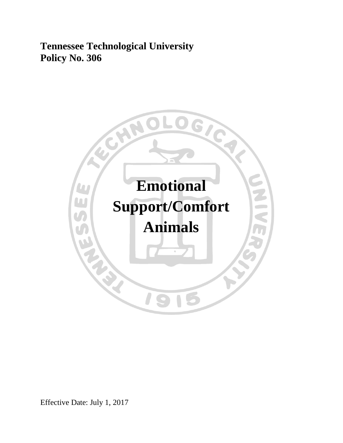**Tennessee Technological University Policy No. 306**



Effective Date: July 1, 2017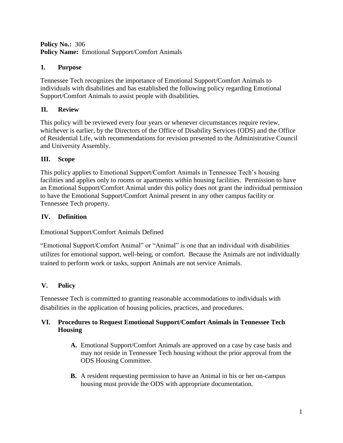### **Policy No.:** 306 **Policy Name:** Emotional Support/Comfort Animals

# **I. Purpose**

Tennessee Tech recognizes the importance of Emotional Support/Comfort Animals to individuals with disabilities and has established the following policy regarding Emotional Support/Comfort Animals to assist people with disabilities.

# **II. Review**

This policy will be reviewed every four years or whenever circumstances require review, whichever is earlier, by the Directors of the Office of Disability Services (ODS) and the Office of Residential Life, with recommendations for revision presented to the Administrative Council and University Assembly.

# **III. Scope**

This policy applies to Emotional Support/Comfort Animals in Tennessee Tech's housing facilities and applies only to rooms or apartments within housing facilities. Permission to have an Emotional Support/Comfort Animal under this policy does not grant the individual permission to have the Emotional Support/Comfort Animal present in any other campus facility or Tennessee Tech property.

# **IV. Definition**

Emotional Support/Comfort Animals Defined

"Emotional Support/Comfort Animal" or "Animal" is one that an individual with disabilities utilizes for emotional support, well-being, or comfort. Because the Animals are not individually trained to perform work or tasks, support Animals are not service Animals.

# **V. Policy**

Tennessee Tech is committed to granting reasonable accommodations to individuals with disabilities in the application of housing policies, practices, and procedures.

### **VI. Procedures to Request Emotional Support/Comfort Animals in Tennessee Tech Housing**

- **A.** Emotional Support/Comfort Animals are approved on a case by case basis and may not reside in Tennessee Tech housing without the prior approval from the ODS Housing Committee.
- **B.** A resident requesting permission to have an Animal in his or her on-campus housing must provide the ODS with appropriate documentation.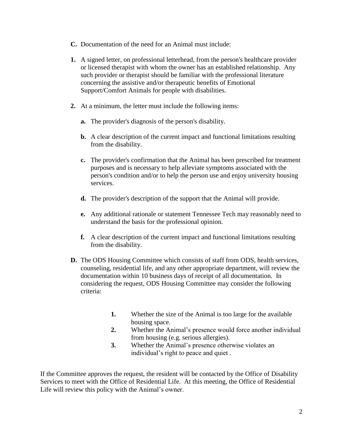- **C.** Documentation of the need for an Animal must include:
- **1.** A signed letter, on professional letterhead, from the person's healthcare provider or licensed therapist with whom the owner has an established relationship. Any such provider or therapist should be familiar with the professional literature concerning the assistive and/or therapeutic benefits of Emotional Support/Comfort Animals for people with disabilities.
- **2.** At a minimum, the letter must include the following items:
	- **a.** The provider's diagnosis of the person's disability.
	- **b.** A clear description of the current impact and functional limitations resulting from the disability.
	- **c.** The provider's confirmation that the Animal has been prescribed for treatment purposes and is necessary to help alleviate symptoms associated with the person's condition and/or to help the person use and enjoy university housing services.
	- **d.** The provider's description of the support that the Animal will provide.
	- **e.** Any additional rationale or statement Tennessee Tech may reasonably need to understand the basis for the professional opinion.
	- **f.** A clear description of the current impact and functional limitations resulting from the disability.
- **D.** The ODS Housing Committee which consists of staff from ODS, health services, counseling, residential life, and any other appropriate department, will review the documentation within 10 business days of receipt of all documentation. In considering the request, ODS Housing Committee may consider the following criteria:
	- **1.** Whether the size of the Animal is too large for the available housing space.
	- **2.** Whether the Animal's presence would force another individual from housing (e.g. serious allergies).
	- **3.** Whether the Animal's presence otherwise violates an individual's right to peace and quiet .

If the Committee approves the request, the resident will be contacted by the Office of Disability Services to meet with the Office of Residential Life. At this meeting, the Office of Residential Life will review this policy with the Animal's owner.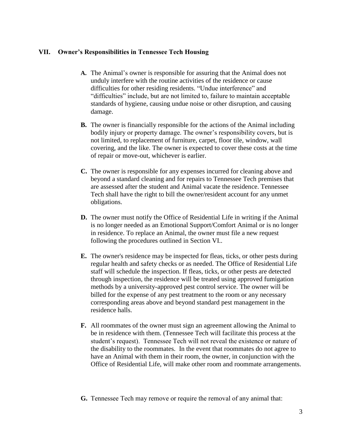#### **VII. Owner's Responsibilities in Tennessee Tech Housing**

- **A.** The Animal's owner is responsible for assuring that the Animal does not unduly interfere with the routine activities of the residence or cause difficulties for other residing residents. "Undue interference" and "difficulties" include, but are not limited to, failure to maintain acceptable standards of hygiene, causing undue noise or other disruption, and causing damage.
- **B.** The owner is financially responsible for the actions of the Animal including bodily injury or property damage. The owner's responsibility covers, but is not limited, to replacement of furniture, carpet, floor tile, window, wall covering, and the like. The owner is expected to cover these costs at the time of repair or move-out, whichever is earlier.
- **C.** The owner is responsible for any expenses incurred for cleaning above and beyond a standard cleaning and for repairs to Tennessee Tech premises that are assessed after the student and Animal vacate the residence. Tennessee Tech shall have the right to bill the owner/resident account for any unmet obligations.
- **D.** The owner must notify the Office of Residential Life in writing if the Animal is no longer needed as an Emotional Support/Comfort Animal or is no longer in residence. To replace an Animal, the owner must file a new request following the procedures outlined in Section VI..
- **E.** The owner's residence may be inspected for fleas, ticks, or other pests during regular health and safety checks or as needed. The Office of Residential Life staff will schedule the inspection. If fleas, ticks, or other pests are detected through inspection, the residence will be treated using approved fumigation methods by a university-approved pest control service. The owner will be billed for the expense of any pest treatment to the room or any necessary corresponding areas above and beyond standard pest management in the residence halls.
- **F.** All roommates of the owner must sign an agreement allowing the Animal to be in residence with them. (Tennessee Tech will facilitate this process at the student's request). Tennessee Tech will not reveal the existence or nature of the disability to the roommates. In the event that roommates do not agree to have an Animal with them in their room, the owner, in conjunction with the Office of Residential Life, will make other room and roommate arrangements.

#### **G.** Tennessee Tech may remove or require the removal of any animal that: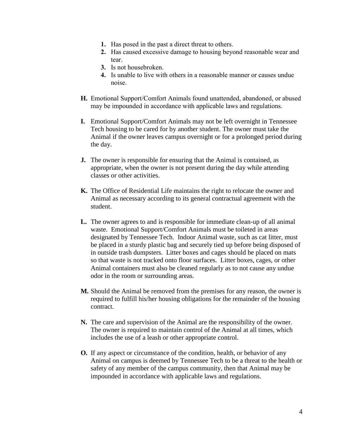- **1.** Has posed in the past a direct threat to others.
- **2.** Has caused excessive damage to housing beyond reasonable wear and tear.
- **3.** Is not housebroken.
- **4.** Is unable to live with others in a reasonable manner or causes undue noise.
- **H.** Emotional Support/Comfort Animals found unattended, abandoned, or abused may be impounded in accordance with applicable laws and regulations.
- **I.** Emotional Support/Comfort Animals may not be left overnight in Tennessee Tech housing to be cared for by another student. The owner must take the Animal if the owner leaves campus overnight or for a prolonged period during the day.
- **J.** The owner is responsible for ensuring that the Animal is contained, as appropriate, when the owner is not present during the day while attending classes or other activities.
- **K.** The Office of Residential Life maintains the right to relocate the owner and Animal as necessary according to its general contractual agreement with the student.
- **L.** The owner agrees to and is responsible for immediate clean-up of all animal waste. Emotional Support/Comfort Animals must be toileted in areas designated by Tennessee Tech. Indoor Animal waste, such as cat litter, must be placed in a sturdy plastic bag and securely tied up before being disposed of in outside trash dumpsters. Litter boxes and cages should be placed on mats so that waste is not tracked onto floor surfaces. Litter boxes, cages, or other Animal containers must also be cleaned regularly as to not cause any undue odor in the room or surrounding areas.
- **M.** Should the Animal be removed from the premises for any reason, the owner is required to fulfill his/her housing obligations for the remainder of the housing contract.
- **N.** The care and supervision of the Animal are the responsibility of the owner. The owner is required to maintain control of the Animal at all times, which includes the use of a leash or other appropriate control.
- **O.** If any aspect or circumstance of the condition, health, or behavior of any Animal on campus is deemed by Tennessee Tech to be a threat to the health or safety of any member of the campus community, then that Animal may be impounded in accordance with applicable laws and regulations.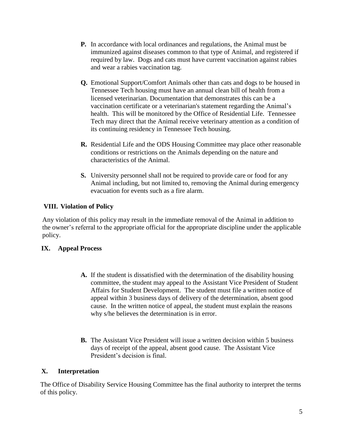- **P.** In accordance with local ordinances and regulations, the Animal must be immunized against diseases common to that type of Animal, and registered if required by law. Dogs and cats must have current vaccination against rabies and wear a rabies vaccination tag.
- **Q.** Emotional Support/Comfort Animals other than cats and dogs to be housed in Tennessee Tech housing must have an annual clean bill of health from a licensed veterinarian. Documentation that demonstrates this can be a vaccination certificate or a veterinarian's statement regarding the Animal's health. This will be monitored by the Office of Residential Life. Tennessee Tech may direct that the Animal receive veterinary attention as a condition of its continuing residency in Tennessee Tech housing.
- **R.** Residential Life and the ODS Housing Committee may place other reasonable conditions or restrictions on the Animals depending on the nature and characteristics of the Animal.
- **S.** University personnel shall not be required to provide care or food for any Animal including, but not limited to, removing the Animal during emergency evacuation for events such as a fire alarm.

### **VIII. Violation of Policy**

Any violation of this policy may result in the immediate removal of the Animal in addition to the owner's referral to the appropriate official for the appropriate discipline under the applicable policy.

### **IX. Appeal Process**

- **A.** If the student is dissatisfied with the determination of the disability housing committee, the student may appeal to the Assistant Vice President of Student Affairs for Student Development. The student must file a written notice of appeal within 3 business days of delivery of the determination, absent good cause. In the written notice of appeal, the student must explain the reasons why s/he believes the determination is in error.
- **B.** The Assistant Vice President will issue a written decision within 5 business days of receipt of the appeal, absent good cause. The Assistant Vice President's decision is final.

### **X. Interpretation**

The Office of Disability Service Housing Committee has the final authority to interpret the terms of this policy.